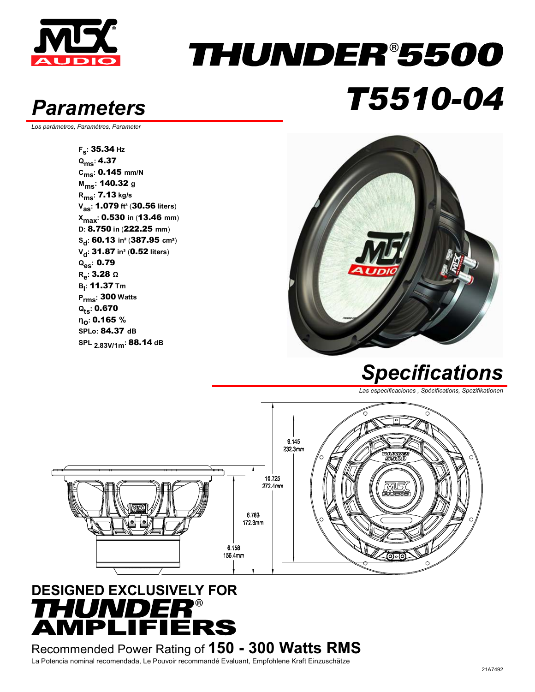

### THUNDER®5500 *Parameters T5510-04*

*Los parámetros, Paramètres, Parameter* 

**Fs:** 35.34 **Hz Qms:** 4.37 **Cms:** 0.145 **mm/N Mms:** 140.32 **<sup>g</sup> Rms:** 7.13 **kg/s Vas:** 1.079 **ft³** (30.56 **liters**) **Xmax:** 0.530 **in** (13.46 **mm**) **D:** 8.750 **in** (222.25 **mm**) **Sd:** 60.13 **in²** (387.95 **cm**²) **V<sub>d</sub>: 31.87 in<sup>3</sup> (0.52 liters) Qes:** 0.79 **Re:** 3.28 **<sup>Ω</sup> Bl :** 11.37 **Tm Prms:** 300 **Watts Qts:** 0.670 **ηο:** 0.165 **% SPLo:** 84.37 **dB SPL 2.83V/1m:** 88.14 **dB**



#### *Specifications*

*Las especificaciones , Spécifications, Spezifikationen* 



#### **DESIGNED EXCLUSIVELY FOR**  *THUNDER®*<br>AMPLIFIERS

Recommended Power Rating of **150 - 300 Watts RMS** La Potencia nominal recomendada, Le Pouvoir recommandé Evaluant, Empfohlene Kraft Einzuschätze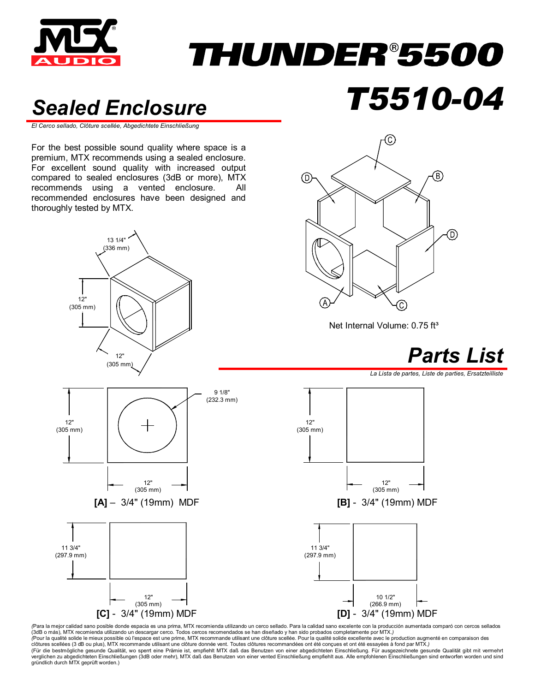

## *THUNDER®5500*

#### *Sealed Enclosure T5510-04*

*El Cerco sellado, Clôture scellée, Abgedichtete Einschließung* 

For the best possible sound quality where space is a premium, MTX recommends using a sealed enclosure. For excellent sound quality with increased output compared to sealed enclosures (3dB or more), MTX recommends using a vented enclosure. All recommended enclosures have been designed and thoroughly tested by MTX.





Net Internal Volume: 0.75 ft<sup>3</sup>



*La Lista de partes, Liste de parties, Ersatzteilliste* 



(Para la mejor calidad sano posible donde espacia es una prima, MTX recomienda utilizando un cerco sellado. Para la calidad sano excelente con la producción aumentada comparó con cercos sellados (3dB o más), MTX recomienda utilizando un descargar cerco. Todos cercos recomendados se han diseñado y han sido probados completamente por MTX.*)*  (Pour la qualité solide le mieux possible où l'espace est une prime, MTX recommande utilisant une dôture scellée. Pour la qualité solide excellente avec le production augmenté en comparaison des<br>clôtures scellées (3 dB ou verglichen zu abgedichteten Einschließungen (3dB oder mehr), MTX daß das Benutzen von einer vented Einschließung empfiehlt aus. Alle empfohlenen Einschließungen sind entworfen worden und sind<br>gründlich durch MTX geprüft wo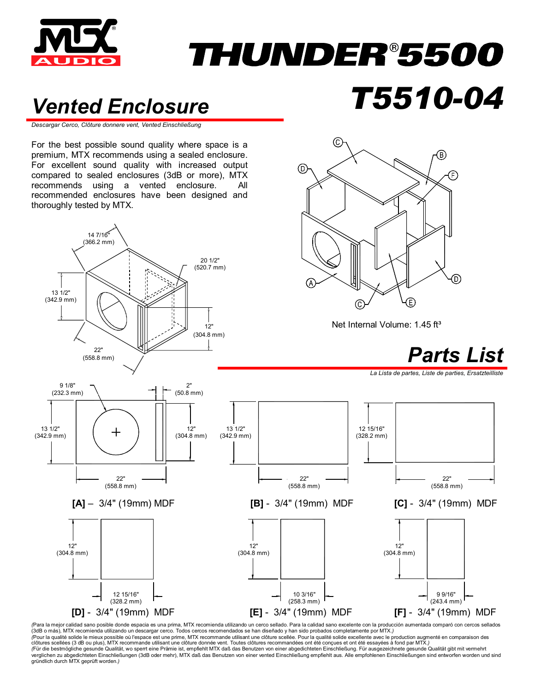

## *THUNDER®5500*

(C

⊚

#### *Vented Enclosure T5510-04*

*Descargar Cerco, Clôture donnere vent, Vented Einschließung*

For the best possible sound quality where space is a premium, MTX recommends using a sealed enclosure. For excellent sound quality with increased output compared to sealed enclosures (3dB or more), MTX recommends using a vented enclosure. All recommended enclosures have been designed and thoroughly tested by MTX.



*(*Para la mejor calidad sano posible donde espacia es una prima, MTX recomienda utilizando un cerco sellado. Para la calidad sano excelente con la producción aumentada comparó con cercos sellados (3dB o más), MTX recomienda utilizando un descargar cerco. Todos cercos recomendados se han diseñado y han sido probados completamente por MTX.*) (*Pour la qualité solide le mieux possible où l'espace est une prime, MTX recommande utilisant une clôture scellée. Pour la qualité solide excellente avec le production augmenté en comparaison des clôtures scellées (3 dB ou plus), MTX recommande utilisant une clôture donnée vent. Toutes clôtures recommandées ont été conçues et ont été essayées à fond par MTX.)<br>(Für die bestmögliche gesunde Qualität, wo sperrt eine P verglichen zu abgedichteten Einschließungen (3dB oder mehr), MTX daß das Benutzen von einer vented Einschließung empfiehlt aus. Alle empfohlenen Einschließungen sind entworfen worden und sind gründlich durch MTX geprüft worden.*)*